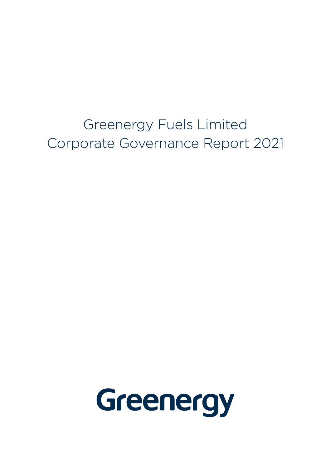Greenergy Fuels Limited Corporate Governance Report 2021

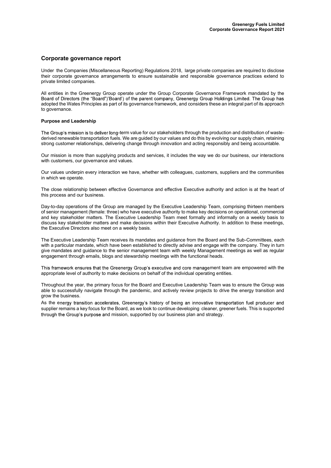### Corporate governance report

Under the Companies (Miscellaneous Reporting) Regulations 2018, large private companies are required to disclose their corporate governance arrangements to ensure sustainable and responsible governance practices extend to private limited companies.

All entities in the Greenergy Group operate under the Group Corporate Governance Framework mandated by the Board''<br>Board of Directors (the "Board")'Board') of the parent company, Greenergy Group Holdings Limited. The Group adopted the Wates Principles as part of its governance framework, and considers these an integral part of its approach to governance.

#### Purpose and Leadership

The Group's mission is to deliver long-term value for our stakeholders through the production and distribution of wastederived renewable transportation fuels. We are guided by our values and do this by evolving our supply chain, retaining strong customer relationships, delivering change through innovation and acting responsibly and being accountable.

Our mission is more than supplying products and services, it includes the way we do our business, our interactions with customers, our governance and values.

Our values underpin every interaction we have, whether with colleagues, customers, suppliers and the communities in which we operate.

The close relationship between effective Governance and effective Executive authority and action is at the heart of this process and our business.

Day-to-day operations of the Group are managed by the Executive Leadership Team, comprising thirteen members of senior management (female: three) who have executive authority to make key decisions on operational, commercial and key stakeholder matters. The Executive Leadership Team meet formally and informally on a weekly basis to discuss key stakeholder matters and make decisions within their Executive Authority. In addition to these meetings, the Executive Directors also meet on a weekly basis.

The Executive Leadership Team receives its mandates and guidance from the Board and the Sub-Committees, each with a particular mandate, which have been established to directly advise and engage with the company. They in turn give mandates and guidance to the senior management team with weekly Management meetings as well as regular engagement through emails, blogs and stewardship meetings with the functional heads.

This framework ensures that the Greenergy Group's executive and core management team are empowered with the appropriate level of authority to make decisions on behalf of the individual operating entities.

Throughout the year, the primary focus for the Board and Executive Leadership Team was to ensure the Group was able to successfully navigate through the pandemic, and actively review projects to drive the energy transition and grow the business.

As the energy transition accelerates, Greenergy's history of being an innovative transportation fuel producer and supplier remains a key focus for the Board, as we look to continue developing cleaner, greener fuels. This is supported through the Group's purpose and mission, supported by our business plan and strategy.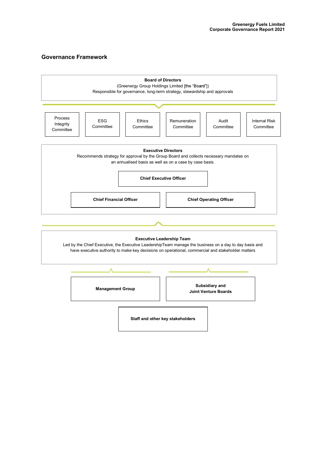# Governance Framework

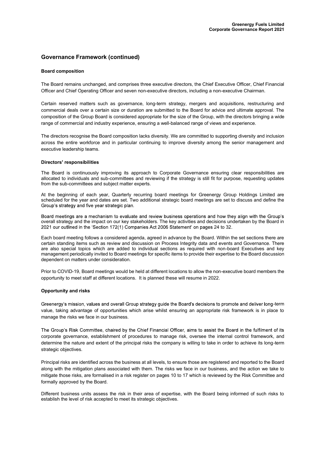### Governance Framework (continued)

#### Board composition

The Board remains unchanged, and comprises three executive directors, the Chief Executive Officer, Chief Financial Officer and Chief Operating Officer and seven non-executive directors, including a non-executive Chairman.

Certain reserved matters such as governance, long-term strategy, mergers and acquisitions, restructuring and commercial deals over a certain size or duration are submitted to the Board for advice and ultimate approval. The composition of the Group Board is considered appropriate for the size of the Group, with the directors bringing a wide range of commercial and industry experience, ensuring a well-balanced range of views and experience.

The directors recognise the Board composition lacks diversity. We are committed to supporting diversity and inclusion across the entire workforce and in particular continuing to improve diversity among the senior management and executive leadership teams.

#### Directors' responsibilities

The Board is continuously improving its approach to Corporate Governance ensuring clear responsibilities are allocated to individuals and sub-committees and reviewing if the strategy is still fit for purpose, requesting updates from the sub-committees and subject matter experts.

At the beginning of each year, Quarterly recurring board meetings for Greenergy Group Holdings Limited are scheduled for the year and dates are set. Two additional strategic board meetings are set to discuss and define the Group's strategy and five year strategic plan.

Board meetings are a mechanism to evaluate and review business operations and how they align with the Group's overall strategy and the impact on our key stakeholders. The key activities and decisions undertaken by the Board in 2021 our outlined in the 'Section 172(1) Companies Act 2006 Statement' on pages 24 to 32.

Each board meeting follows a considered agenda, agreed in advance by the Board. Within the set sections there are certain standing items such as review and discussion on Process Integrity data and events and Governance. There are also special topics which are added to individual sections as required with non-board Executives and key management periodically invited to Board meetings for specific items to provide their expertise to the Board discussion dependent on matters under consideration.

Prior to COVID-19, Board meetings would be held at different locations to allow the non-executive board members the opportunity to meet staff at different locations. It is planned these will resume in 2022.

#### Opportunity and risks

Greenergy's mission, values and overall Group strategy guide the Board's decisions to promote and deliver long-term value, taking advantage of opportunities which arise whilst ensuring an appropriate risk framework is in place to manage the risks we face in our business.

The Group's Risk Committee, chaired by the Chief Financial Officer, aims to assist the Board in the fulfilment of its corporate governance, establishment of procedures to manage risk, oversee the internal control framework, and determine the nature and extent of the principal risks the company is willing to take in order to achieve its long-term strategic objectives.

Principal risks are identified across the business at all levels, to ensure those are registered and reported to the Board along with the mitigation plans associated with them. The risks we face in our business, and the action we take to mitigate those risks, are formalised in a risk register on pages 10 to 17 which is reviewed by the Risk Committee and formally approved by the Board.

Different business units assess the risk in their area of expertise, with the Board being informed of such risks to establish the level of risk accepted to meet its strategic objectives.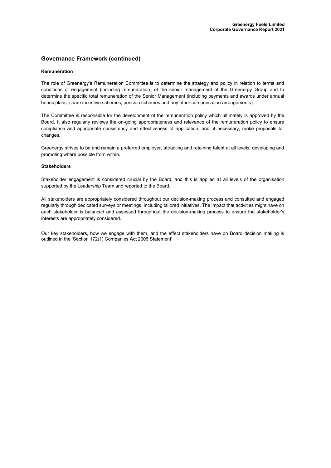## Governance Framework (continued)

#### Remuneration

The role of Greenergy's Remuneration Committee is to determine the strategy and policy in relation to terms and conditions of engagement (including remuneration) of the senior management of the Greenergy Group and to determine the specific total remuneration of the Senior Management (including payments and awards under annual bonus plans, share incentive schemes, pension schemes and any other compensation arrangements).

The Committee is responsible for the development of the remuneration policy which ultimately is approved by the Board. It also regularly reviews the on-going appropriateness and relevance of the remuneration policy to ensure compliance and appropriate consistency and effectiveness of application, and, if necessary, make proposals for changes.

Greenergy strives to be and remain a preferred employer, attracting and retaining talent at all levels, developing and promoting where possible from within.

#### **Stakeholders**

Stakeholder engagement is considered crucial by the Board, and this is applied at all levels of the organisation supported by the Leadership Team and reported to the Board.

All stakeholders are appropriately considered throughout our decision-making process and consulted and engaged regularly through dedicated surveys or meetings, including tailored initiatives. The impact that activities might have on each stakeholder is balanced and assessed throughout the decision-making process to ensure the stakeholder's interests are appropriately considered.

Our key stakeholders, how we engage with them, and the effect stakeholders have on Board decision making is outlined in the 'Section 172(1) Companies Act 2006 Statement'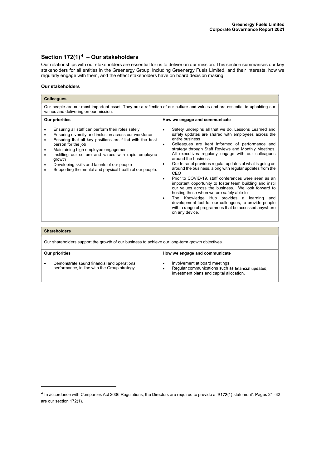# Section  $172(1)^4$  - Our stakeholders

Our relationships with our stakeholders are essential for us to deliver on our mission. This section summarises our key stakeholders for all entities in the Greenergy Group, including Greenergy Fuels Limited, and their interests, how we regularly engage with them, and the effect stakeholders have on board decision making.

#### Our stakeholders

| <b>Colleagues</b>                                                                                                                                                                                                                                                                                                                                                                                                                                             |                                                                                                                                                                                                                                                                                                                                                                                                                                                                                                                                                                                                                                                                                                                                                                                                                                                                                                                                             |  |  |  |
|---------------------------------------------------------------------------------------------------------------------------------------------------------------------------------------------------------------------------------------------------------------------------------------------------------------------------------------------------------------------------------------------------------------------------------------------------------------|---------------------------------------------------------------------------------------------------------------------------------------------------------------------------------------------------------------------------------------------------------------------------------------------------------------------------------------------------------------------------------------------------------------------------------------------------------------------------------------------------------------------------------------------------------------------------------------------------------------------------------------------------------------------------------------------------------------------------------------------------------------------------------------------------------------------------------------------------------------------------------------------------------------------------------------------|--|--|--|
| Our people are our most important asset. They are a reflection of our culture and values and are essential to upholding our<br>values and delivering on our mission.                                                                                                                                                                                                                                                                                          |                                                                                                                                                                                                                                                                                                                                                                                                                                                                                                                                                                                                                                                                                                                                                                                                                                                                                                                                             |  |  |  |
| Our priorities<br>Ensuring all staff can perform their roles safely<br>٠<br>Ensuring diversity and inclusion across our workforce<br>٠<br>Ensuring that all key positions are filled with the best<br>٠<br>person for the job<br>Maintaining high employee engagement<br>٠<br>Instilling our culture and values with rapid employee<br>growth<br>Developing skills and talents of our people<br>٠<br>Supporting the mental and physical health of our people. | How we engage and communicate<br>Safety underpins all that we do. Lessons Learned and<br>$\bullet$<br>safety updates are shared with employees across the<br>entire business<br>Colleagues are kept informed of performance and<br>٠<br>strategy through Staff Reviews and Monthly Meetings.<br>All executives regularly engage with our colleagues<br>around the business<br>Our Intranet provides regular updates of what is going on<br>٠<br>around the business, along with regular updates from the<br>CEO<br>Prior to COVID-19, staff conferences were seen as an<br>٠<br>important opportunity to foster team building and instil<br>our values across the business. We look forward to<br>hosting these when we are safely able to<br>The Knowledge Hub provides a learning<br>and<br>$\bullet$<br>development tool for our colleagues, to provide people<br>with a range of programmes that be accessed anywhere<br>on any device. |  |  |  |
|                                                                                                                                                                                                                                                                                                                                                                                                                                                               |                                                                                                                                                                                                                                                                                                                                                                                                                                                                                                                                                                                                                                                                                                                                                                                                                                                                                                                                             |  |  |  |

| <b>Shareholders</b>                                                                             |                                                                                                                                |  |  |
|-------------------------------------------------------------------------------------------------|--------------------------------------------------------------------------------------------------------------------------------|--|--|
| Our shareholders support the growth of our business to achieve our long-term growth objectives. |                                                                                                                                |  |  |
| Our priorities<br>How we engage and communicate                                                 |                                                                                                                                |  |  |
| Demonstrate sound financial and operational<br>performance, in line with the Group strategy.    | Involvement at board meetings<br>Regular communications such as financial updates,<br>investment plans and capital allocation. |  |  |

<sup>&</sup>lt;sup>4</sup> In accordance with Companies Act 2006 Regulations, the Directors are required to provide a 'S172(1) statement'. Pages 24 -32 are our section 172(1).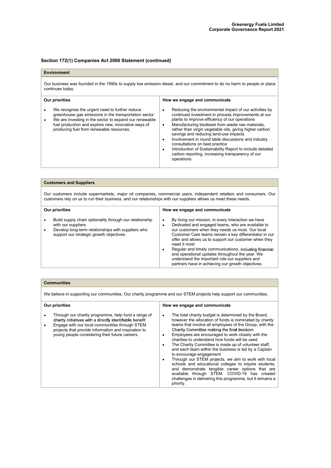### Environment

Our business was founded in the 1990s to supply low emission diesel, and our commitment to do no harm to people or place continues today.

| <b>Our priorities</b>                                                                                                                                                                                                                                                | How we engage and communicate                                                                                                                                                                                                                                                                                                                                                                                                                                                                                                                                    |  |
|----------------------------------------------------------------------------------------------------------------------------------------------------------------------------------------------------------------------------------------------------------------------|------------------------------------------------------------------------------------------------------------------------------------------------------------------------------------------------------------------------------------------------------------------------------------------------------------------------------------------------------------------------------------------------------------------------------------------------------------------------------------------------------------------------------------------------------------------|--|
| We recognise the urgent need to further reduce<br>greenhouse gas emissions in the transportation sector<br>We are investing in the sector to expand our renewable<br>fuel production and explore new, innovative ways of<br>producing fuel from renewable resources. | Reducing the environmental impact of our activities by<br>continued investment in process improvements at our<br>plants to improve efficiency of our operations<br>Manufacturing biodiesel from waste raw materials,<br>٠<br>rather than virgin vegetable oils, giving higher carbon<br>savings and reducing land-use impacts<br>Involvement in round table discussions and industry<br>٠<br>consultations on best practice<br>Introduction of Sustainability Report to include detailed<br>٠<br>carbon reporting, increasing transparency of our<br>operations. |  |

| <b>Customers and Suppliers</b>                                                                                                                                                                                                          |                                                                                                                                                                                                                                                                                                                                                                                                                                                                                                                      |  |  |  |
|-----------------------------------------------------------------------------------------------------------------------------------------------------------------------------------------------------------------------------------------|----------------------------------------------------------------------------------------------------------------------------------------------------------------------------------------------------------------------------------------------------------------------------------------------------------------------------------------------------------------------------------------------------------------------------------------------------------------------------------------------------------------------|--|--|--|
| Our customers include supermarkets, major oil companies, commercial users, independent retailers and consumers. Our<br>customers rely on us to run their business, and our relationships with our suppliers allows us meet these needs. |                                                                                                                                                                                                                                                                                                                                                                                                                                                                                                                      |  |  |  |
| Our priorities<br>How we engage and communicate                                                                                                                                                                                         |                                                                                                                                                                                                                                                                                                                                                                                                                                                                                                                      |  |  |  |
| Build supply chain optionality through our relationship<br>with our suppliers<br>Develop long-term relationships with suppliers who<br>support our strategic growth objectives.                                                         | By living our mission, in every interaction we have<br>Dedicated and engaged teams, who are available to<br>our customers when they needs us most. Our local<br>Customer Care teams remain a key differentiator in our<br>offer and allows us to support our customer when they<br>need it most<br>Regular and timely communications, including financial<br>and operational updates throughout the year. We<br>understand the important role our suppliers and<br>partners have in achieving our growth objectives. |  |  |  |

We believe in supporting our communities. Our charity programme and our STEM projects help support our communities.

| <b>Our priorities</b>                                                                                                                                                                                                                                                       | How we engage and communicate                                                                                                                                                                                                                                                                                                                                                                                                                                                                                                                                                                                                                                                                                                                                                    |  |
|-----------------------------------------------------------------------------------------------------------------------------------------------------------------------------------------------------------------------------------------------------------------------------|----------------------------------------------------------------------------------------------------------------------------------------------------------------------------------------------------------------------------------------------------------------------------------------------------------------------------------------------------------------------------------------------------------------------------------------------------------------------------------------------------------------------------------------------------------------------------------------------------------------------------------------------------------------------------------------------------------------------------------------------------------------------------------|--|
| Through our charity programme, help fund a range of<br>charity initiatives with a directly identifiable benefit<br>Engage with our local communities through STEM<br>projects that provide information and inspiration to<br>young people considering their future careers. | The total charity budget is determined by the Board,<br>٠<br>however the allocation of funds is nominated by charity<br>teams that involve all employees of the Group, with the<br>Charity Committee making the final decision<br>Employees are encouraged to work closely with the<br>charities to understand how funds will be used<br>The Charity Committee is made up of volunteer staff,<br>and each team within the business is led by a Captain<br>to encourage engagement<br>Through our STEM projects, we aim to work with local<br>schools and educational colleges to inspire students,<br>and demonstrate tangible career options that are<br>available through STEM. COVID-19 has created<br>challenges in delivering this programme, but it remains a<br>priority. |  |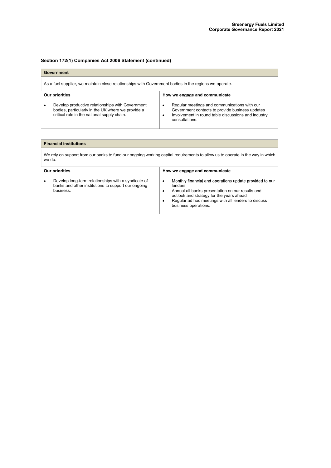| Government                                                                                            |                                                                                                                                                      |                                                                                                                                                                                   |  |
|-------------------------------------------------------------------------------------------------------|------------------------------------------------------------------------------------------------------------------------------------------------------|-----------------------------------------------------------------------------------------------------------------------------------------------------------------------------------|--|
| As a fuel supplier, we maintain close relationships with Government bodies in the regions we operate. |                                                                                                                                                      |                                                                                                                                                                                   |  |
| How we engage and communicate<br>Our priorities                                                       |                                                                                                                                                      |                                                                                                                                                                                   |  |
|                                                                                                       | Develop productive relationships with Government<br>bodies, particularly in the UK where we provide a<br>critical role in the national supply chain. | Regular meetings and communications with our<br>٠<br>Government contacts to provide business updates<br>Involvement in round table discussions and industry<br>٠<br>consultations |  |

### Financial institutions

We rely on support from our banks to fund our ongoing working capital requirements to allow us to operate in the way in which we do.

| Our priorities                                                                                                                       | How we engage and communicate                                                                                                                                                                                                                                    |
|--------------------------------------------------------------------------------------------------------------------------------------|------------------------------------------------------------------------------------------------------------------------------------------------------------------------------------------------------------------------------------------------------------------|
| Develop long-term relationships with a syndicate of<br>$\bullet$<br>banks and other institutions to support our ongoing<br>business. | Monthly financial and operations update provided to our<br>٠<br>lenders<br>Annual all banks presentation on our results and<br>٠<br>outlook and strategy for the years ahead<br>Regular ad hoc meetings with all lenders to discuss<br>٠<br>business operations. |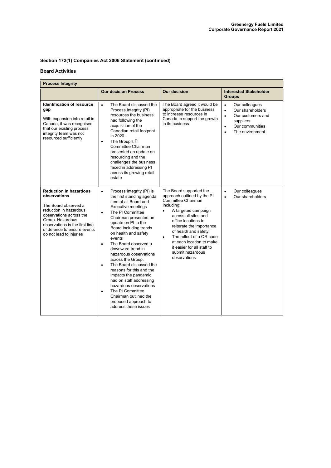### Board Activities

| <b>Process Integrity</b>                                                                                                                                                                                                                   |                                                                                                                                                                                                                                                                                                                                                                                                                                                                                                                                                                                                                                            |                                                                                                                                                                                                                                                                                                                                                                           |                                                                                                                                                                             |
|--------------------------------------------------------------------------------------------------------------------------------------------------------------------------------------------------------------------------------------------|--------------------------------------------------------------------------------------------------------------------------------------------------------------------------------------------------------------------------------------------------------------------------------------------------------------------------------------------------------------------------------------------------------------------------------------------------------------------------------------------------------------------------------------------------------------------------------------------------------------------------------------------|---------------------------------------------------------------------------------------------------------------------------------------------------------------------------------------------------------------------------------------------------------------------------------------------------------------------------------------------------------------------------|-----------------------------------------------------------------------------------------------------------------------------------------------------------------------------|
|                                                                                                                                                                                                                                            | <b>Our decision Process</b>                                                                                                                                                                                                                                                                                                                                                                                                                                                                                                                                                                                                                | <b>Our decision</b>                                                                                                                                                                                                                                                                                                                                                       | <b>Interested Stakeholder</b><br><b>Groups</b>                                                                                                                              |
| Identification of resource<br>gap<br>With expansion into retail in<br>Canada, it was recognised<br>that our existing process<br>integrity team was not<br>resourced sufficiently                                                           | The Board discussed the<br>$\bullet$<br>Process Integrity (PI)<br>resources the business<br>had following the<br>acquisition of the<br>Canadian retail footprint<br>in 2020.<br>The Group's PI<br>$\bullet$<br>Committee Chairman<br>presented an update on<br>resourcing and the<br>challenges the business<br>faced in addressing PI<br>across its growing retail<br>estate                                                                                                                                                                                                                                                              | The Board agreed it would be<br>appropriate for the business<br>to increase resources in<br>Canada to support the growth<br>in its business                                                                                                                                                                                                                               | Our colleagues<br>$\bullet$<br>Our shareholders<br>$\bullet$<br>Our customers and<br>$\bullet$<br>suppliers<br>Our communities<br>$\bullet$<br>The environment<br>$\bullet$ |
| <b>Reduction in hazardous</b><br>observations<br>The Board observed a<br>reduction in hazardous<br>observations across the<br>Group. Hazardous<br>observations is the first line<br>of defence to ensure events<br>do not lead to injuries | Process Integrity (PI) is<br>$\bullet$<br>the first standing agenda<br>item at all Board and<br><b>Executive meetings</b><br>The PI Committee<br>$\bullet$<br>Chairman presented an<br>update on PI to the<br>Board including trends<br>on health and safety<br>events<br>The Board observed a<br>$\bullet$<br>downward trend in<br>hazardous observations<br>across the Group.<br>The Board discussed the<br>$\bullet$<br>reasons for this and the<br>impacts the pandemic<br>had on staff addressing<br>hazardous observations<br>The PI Committee<br>$\bullet$<br>Chairman outlined the<br>proposed approach to<br>address these issues | The Board supported the<br>approach outlined by the PI<br>Committee Chairman<br>including:<br>A targeted campaign<br>$\bullet$<br>across all sites and<br>office locations to<br>reiterate the importance<br>of health and safety;<br>The rollout of a QR code<br>$\bullet$<br>at each location to make<br>it easier for all staff to<br>submit hazardous<br>observations | Our colleagues<br>$\bullet$<br>Our shareholders<br>$\bullet$                                                                                                                |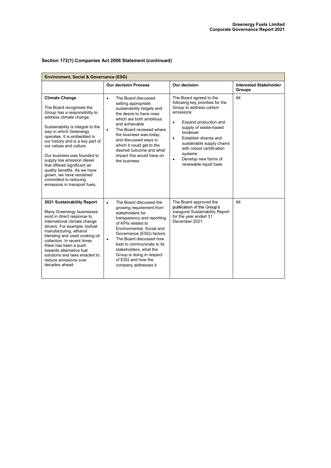| <b>Environment, Social &amp; Governance (ESG)</b>                                                                                                                                                                                                                                                                                                                                                                                                                                           |                                                                                                                                                                                                                                                                                                                                                                              |                                                                                                                                                                                                                                                                                                                                                            |                                                |
|---------------------------------------------------------------------------------------------------------------------------------------------------------------------------------------------------------------------------------------------------------------------------------------------------------------------------------------------------------------------------------------------------------------------------------------------------------------------------------------------|------------------------------------------------------------------------------------------------------------------------------------------------------------------------------------------------------------------------------------------------------------------------------------------------------------------------------------------------------------------------------|------------------------------------------------------------------------------------------------------------------------------------------------------------------------------------------------------------------------------------------------------------------------------------------------------------------------------------------------------------|------------------------------------------------|
|                                                                                                                                                                                                                                                                                                                                                                                                                                                                                             | <b>Our decision Process</b>                                                                                                                                                                                                                                                                                                                                                  | Our decision                                                                                                                                                                                                                                                                                                                                               | <b>Interested Stakeholder</b><br><b>Groups</b> |
| <b>Climate Change</b><br>The Board recognises the<br>Group has a responsibility to<br>address climate change.<br>Sustainability is integral to the<br>way in which Greenergy<br>operates. It is embedded in<br>our history and is a key part of<br>our values and culture<br>Our business was founded to<br>supply low emission diesel<br>that offered significant air<br>quality benefits. As we have<br>grown, we have remained<br>committed to reducing<br>emissions in transport fuels. | The Board discussed<br>$\bullet$<br>setting appropriate<br>sustainability targets and<br>the desire to have ones<br>which are both ambitious<br>and achievable<br>The Board reviewed where<br>$\bullet$<br>the business was today,<br>and discussed ways in<br>which it could get to the<br>desired outcome and what<br>impact this would have on<br>the business            | The Board agreed to the<br>following key priorities for the<br>Group to address carbon<br>emissions:<br>Expand production and<br>$\bullet$<br>supply of waste-based<br>biodiesel<br>Establish diverse and<br>$\bullet$<br>sustainable supply chains<br>with robust certification<br>systems<br>Develop new forms of<br>$\bullet$<br>renewable liquid fuels | All                                            |
| 2021 Sustainability Report<br>Many Greenergy businesses<br>exist in direct response to<br>international climate change<br>drivers. For example, biofuel<br>manufacturing, ethanol<br>blending and used cooking oil<br>collection. In recent times<br>there has been a push<br>towards alternative fuel<br>solutions and laws enacted to<br>reduce emissions over<br>decades ahead.                                                                                                          | The Board discussed the<br>$\bullet$<br>growing requirement from<br>stakeholders for<br>transparency and reporting<br>of KPIs related to<br>Environmental, Social and<br>Governance (ESG) factors<br>The Board discussed how<br>$\bullet$<br>best to communicate to its<br>stakeholders, what the<br>Group is doing in respect<br>of ESG and how the<br>company addresses it | The Board approved the<br>publication of the Group's<br>inaugural Sustainability Report<br>for the year ended 31<br>December 2021                                                                                                                                                                                                                          | All                                            |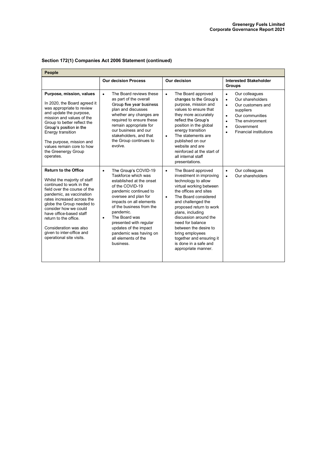| People                                                                                                                                                                                                                                                                                                                                                                         |                                                                                                                                                                                                                                                                                                                                                                             |                                                                                                                                                                                                                                                                                                                                                                                                                      |                                                                                                                                                                                                                                                      |  |
|--------------------------------------------------------------------------------------------------------------------------------------------------------------------------------------------------------------------------------------------------------------------------------------------------------------------------------------------------------------------------------|-----------------------------------------------------------------------------------------------------------------------------------------------------------------------------------------------------------------------------------------------------------------------------------------------------------------------------------------------------------------------------|----------------------------------------------------------------------------------------------------------------------------------------------------------------------------------------------------------------------------------------------------------------------------------------------------------------------------------------------------------------------------------------------------------------------|------------------------------------------------------------------------------------------------------------------------------------------------------------------------------------------------------------------------------------------------------|--|
|                                                                                                                                                                                                                                                                                                                                                                                | <b>Our decision Process</b>                                                                                                                                                                                                                                                                                                                                                 | Our decision                                                                                                                                                                                                                                                                                                                                                                                                         | <b>Interested Stakeholder</b><br><b>Groups</b>                                                                                                                                                                                                       |  |
| Purpose, mission, values<br>In 2020, the Board agreed it<br>was appropriate to review<br>and update the purpose,<br>mission and values of the<br>Group to better reflect the<br>Group's position in the<br>Energy transition<br>The purpose, mission and<br>values remain core to how<br>the Greenergy Group<br>operates.                                                      | The Board reviews these<br>$\bullet$<br>as part of the overall<br>Group five year business<br>plan and discusses<br>whether any changes are<br>required to ensure these<br>remain appropriate for<br>our business and our<br>stakeholders, and that<br>the Group continues to<br>evolve                                                                                     | The Board approved<br>$\bullet$<br>changes to the Group's<br>purpose, mission and<br>values to ensure that<br>they more accurately<br>reflect the Group's<br>position in the global<br>energy transition<br>The statements are<br>$\bullet$<br>published on our<br>website and are<br>reinforced at the start of<br>all internal staff<br>presentations.                                                             | Our colleagues<br>$\bullet$<br>Our shareholders<br>$\bullet$<br>Our customers and<br>$\bullet$<br>suppliers<br>Our communities<br>$\bullet$<br>The environment<br>$\bullet$<br>Government<br>$\bullet$<br><b>Financial institutions</b><br>$\bullet$ |  |
| <b>Return to the Office</b><br>Whilst the majority of staff<br>continued to work in the<br>field over the course of the<br>pandemic, as vaccination<br>rates increased across the<br>globe the Group needed to<br>consider how we could<br>have office-based staff<br>return to the office.<br>Consideration was also<br>given to inter-office and<br>operational site visits. | The Group's COVID-19<br>$\bullet$<br>Taskforce which was<br>established at the onset<br>of the COVID-19<br>pandemic continued to<br>oversee and plan for<br>impacts on all elements<br>of the business from the<br>pandemic.<br>The Board was<br>$\bullet$<br>presented with regular<br>updates of the impact<br>pandemic was having on<br>all elements of the<br>business. | The Board approved<br>$\bullet$<br>investment in improving<br>technology to allow<br>virtual working between<br>the offices and sites<br>The Board considered<br>$\bullet$<br>and challenged the<br>proposed return to work<br>plans, including<br>discussion around the<br>need for balance<br>between the desire to<br>bring employees<br>together and ensuring it<br>is done in a safe and<br>appropriate manner. | Our colleagues<br>$\bullet$<br>Our shareholders<br>$\bullet$                                                                                                                                                                                         |  |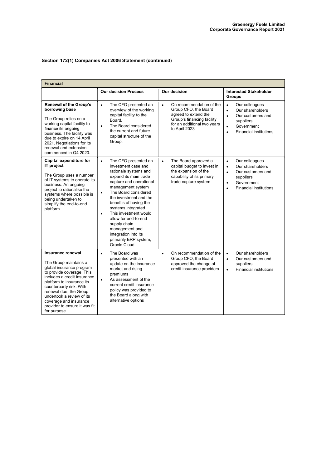| <b>Financial</b>                                                                                                                                                                                                                                                                                                            |                                                                                                                                                                                                                                                                                                                                                                                                                                            |                                                                                                                                                                     |                                                                                                                                                                                      |
|-----------------------------------------------------------------------------------------------------------------------------------------------------------------------------------------------------------------------------------------------------------------------------------------------------------------------------|--------------------------------------------------------------------------------------------------------------------------------------------------------------------------------------------------------------------------------------------------------------------------------------------------------------------------------------------------------------------------------------------------------------------------------------------|---------------------------------------------------------------------------------------------------------------------------------------------------------------------|--------------------------------------------------------------------------------------------------------------------------------------------------------------------------------------|
|                                                                                                                                                                                                                                                                                                                             | <b>Our decision Process</b>                                                                                                                                                                                                                                                                                                                                                                                                                | Our decision                                                                                                                                                        | <b>Interested Stakeholder</b><br><b>Groups</b>                                                                                                                                       |
| <b>Renewal of the Group's</b><br>borrowing base<br>The Group relies on a<br>working capital facility to<br>finance its ongoing<br>business. The facility was<br>due to expire on 14 April<br>2021. Negotiations for its<br>renewal and extension<br>commenced in Q4 2020.                                                   | The CFO presented an<br>$\bullet$<br>overview of the working<br>capital facility to the<br>Board.<br>The Board considered<br>$\bullet$<br>the current and future<br>capital structure of the<br>Group.                                                                                                                                                                                                                                     | On recommendation of the<br>$\bullet$<br>Group CFO, the Board<br>agreed to extend the<br>Group's financing facility<br>for an additional two years<br>to April 2023 | Our colleagues<br>$\bullet$<br>Our shareholders<br>$\bullet$<br>Our customers and<br>$\bullet$<br>suppliers<br>Government<br>$\bullet$<br><b>Financial institutions</b><br>$\bullet$ |
| Capital expenditure for<br><b>IT project</b><br>The Group uses a number<br>of IT systems to operate its<br>business. An ongoing<br>project to rationalise the<br>systems where possible is<br>being undertaken to<br>simplify the end-to-end<br>platform                                                                    | The CFO presented an<br>$\bullet$<br>investment case and<br>rationale systems and<br>expand its main trade<br>capture and operational<br>management system<br>The Board considered<br>$\bullet$<br>the investment and the<br>benefits of having the<br>systems integrated<br>This investment would<br>$\bullet$<br>allow for end-to-end<br>supply chain<br>management and<br>integration into its<br>primarily ERP system,<br>Oracle Cloud | The Board approved a<br>$\bullet$<br>capital budget to invest in<br>the expansion of the<br>capability of its primary<br>trade capture system                       | Our colleagues<br>$\bullet$<br>Our shareholders<br>$\bullet$<br>Our customers and<br>$\bullet$<br>suppliers<br>Government<br>$\bullet$<br><b>Financial institutions</b><br>$\bullet$ |
| Insurance renewal<br>The Group maintains a<br>global insurance program<br>to provide coverage. This<br>includes a credit insurance<br>platform to insurance its<br>counterparty risk. With<br>renewal due, the Group<br>undertook a review of its<br>coverage and insurance<br>provider to ensure it was fit<br>for purpose | The Board was<br>$\bullet$<br>presented with an<br>update on the insurance<br>market and rising<br>premiums<br>As assessment of the<br>$\bullet$<br>current credit insurance<br>policy was provided to<br>the Board along with<br>alternative options                                                                                                                                                                                      | On recommendation of the<br>$\bullet$<br>Group CFO, the Board<br>approved the change of<br>credit insurance providers                                               | Our shareholders<br>$\bullet$<br>Our customers and<br>$\bullet$<br>suppliers<br><b>Financial institutions</b><br>$\bullet$                                                           |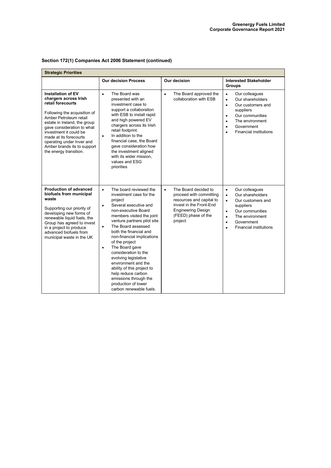| Section 172(1) Companies Act 2006 Statement (continued) |  |  |  |  |
|---------------------------------------------------------|--|--|--|--|
|---------------------------------------------------------|--|--|--|--|

| <b>Strategic Priorities</b>                                                                                                                                                                                                                                                                                                               |                                                                                                                                                                                                                                                                                                                                                                                                                                                                                                                                                      |                                                                                                                                                                                    |                                                                                                                                                                                                                                                      |  |  |  |
|-------------------------------------------------------------------------------------------------------------------------------------------------------------------------------------------------------------------------------------------------------------------------------------------------------------------------------------------|------------------------------------------------------------------------------------------------------------------------------------------------------------------------------------------------------------------------------------------------------------------------------------------------------------------------------------------------------------------------------------------------------------------------------------------------------------------------------------------------------------------------------------------------------|------------------------------------------------------------------------------------------------------------------------------------------------------------------------------------|------------------------------------------------------------------------------------------------------------------------------------------------------------------------------------------------------------------------------------------------------|--|--|--|
|                                                                                                                                                                                                                                                                                                                                           | <b>Our decision Process</b>                                                                                                                                                                                                                                                                                                                                                                                                                                                                                                                          | Our decision                                                                                                                                                                       | <b>Interested Stakeholder</b><br><b>Groups</b>                                                                                                                                                                                                       |  |  |  |
| <b>Installation of EV</b><br>chargers across Irish<br>retail forecourts<br>Following the acquisition of<br>Amber Petroleum retail<br>estate in Ireland, the group<br>gave consideration to what<br>investment it could be<br>made at its forecourts<br>operating under Inver and<br>Amber brands its to support<br>the energy transition. | The Board was<br>$\bullet$<br>presented with an<br>investment case to<br>support a collaboration<br>with ESB to install rapid<br>and high powered EV<br>chargers across its Irish<br>retail footprint.<br>In addition to the<br>$\bullet$<br>financial case, the Board<br>gave consideration how<br>the investment aligned<br>with its wider mission.<br>values and ESG<br>priorities                                                                                                                                                                | The Board approved the<br>$\bullet$<br>collaboration with ESB                                                                                                                      | Our colleagues<br>$\bullet$<br>Our shareholders<br>$\bullet$<br>Our customers and<br>$\bullet$<br>suppliers<br>Our communities<br>$\bullet$<br>The environment<br>$\bullet$<br>Government<br>$\bullet$<br><b>Financial institutions</b><br>$\bullet$ |  |  |  |
| <b>Production of advanced</b><br>biofuels from municipal<br>waste<br>Supporting our priority of<br>developing new forms of<br>renewable liquid fuels, the<br>Group has agreed to invest<br>in a project to produce<br>advanced biofuels from<br>municipal waste in the UK                                                                 | The board reviewed the<br>$\bullet$<br>investment case for the<br>project<br>Several executive and<br>$\bullet$<br>non-executive Board<br>members visited the joint<br>venture partners pilot site<br>The Board assessed<br>$\bullet$<br>both the financial and<br>non-financial implications<br>of the project<br>The Board gave<br>$\bullet$<br>consideration to the<br>evolving legislative<br>environment and the<br>ability of this project to<br>help reduce carbon<br>emissions through the<br>production of lower<br>carbon renewable fuels. | The Board decided to<br>$\bullet$<br>proceed with committing<br>resources and capital to<br>invest in the Front-End<br><b>Engineering Design</b><br>(FEED) phase of the<br>project | Our colleagues<br>$\bullet$<br>Our shareholders<br>$\bullet$<br>Our customers and<br>$\bullet$<br>suppliers<br>Our communities<br>$\bullet$<br>The environment<br>$\bullet$<br>Government<br>$\bullet$<br><b>Financial institutions</b><br>$\bullet$ |  |  |  |